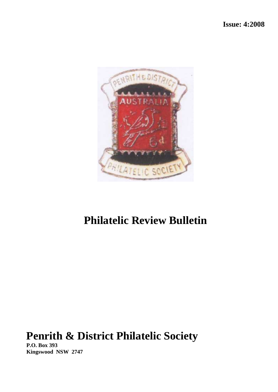

# **Philatelic Review Bulletin**

# **Penrith & District Philatelic Society**

**P.O. Box 393 Kingswood NSW 2747**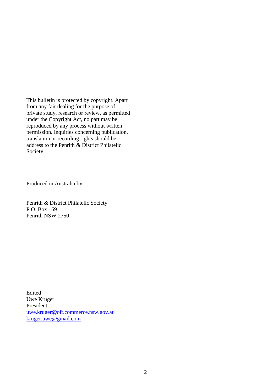This bulletin is protected by copyright. Apart from any fair dealing for the purpose of private study, research or review, as permitted under the Copyright Act, no part may be reproduced by any process without written permission. Inquiries concerning publication, translation or recording rights should be address to the Penrith & District Philatelic Society

Produced in Australia by

Penrith & District Philatelic Society P.O. Box 169 Penrith NSW 2750

Edited Uwe Krüger President [uwe.kruger@oft.commerce.nsw.gov.au](mailto:uwe.kruger@oft.commerce.nsw.gov.au) [kruger.uwe@gmail.com](mailto:kruger.uwe@gmail.com)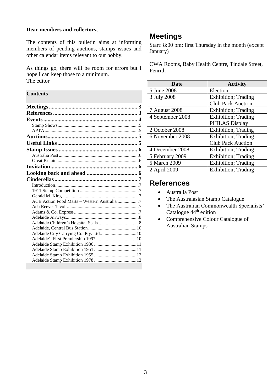#### **Dear members and collectors,**

The contents of this bulletin aims at informing members of pending auctions, stamps issues and other calendar items relevant to our hobby.

As things go, there will be room for errors but I hope I can keep those to a minimum. The editor

#### **Contents**

| ACB Action Food Marts - Western Australia 7 |  |
|---------------------------------------------|--|
|                                             |  |
|                                             |  |
|                                             |  |
|                                             |  |
|                                             |  |
| Adelaide City Carrying Co. Pty. Ltd 10      |  |
|                                             |  |
|                                             |  |
|                                             |  |
|                                             |  |
|                                             |  |

# <span id="page-2-0"></span>**Meetings**

Start: 8:00 pm; first Thursday in the month (except January)

CWA Rooms, Baby Health Centre, Tindale Street, Penrith

| <b>Date</b>      | <b>Activity</b>             |
|------------------|-----------------------------|
| 5 June 2008      | Election                    |
| 3 July 2008      | <b>Exhibition</b> ; Trading |
|                  | <b>Club Pack Auction</b>    |
| 7 August 2008    | <b>Exhibition</b> ; Trading |
| 4 September 2008 | <b>Exhibition</b> ; Trading |
|                  | PHILAS Display              |
| 2 October 2008   | Exhibition, Trading         |
| 6 November 2008  | <b>Exhibition</b> ; Trading |
|                  | <b>Club Pack Auction</b>    |
| 4 December 2008  | <b>Exhibition</b> ; Trading |
| 5 February 2009  | <b>Exhibition</b> ; Trading |
| 5 March 2009     | Exhibition; Trading         |
| 2 April 2009     | <b>Exhibition</b> ; Trading |

# <span id="page-2-1"></span>**References**

- Australia Post
- The Australasian Stamp Catalogue
- The Australian Commonwealth Specialists' Catalogue 44<sup>th</sup> edition
- Comprehensive Colour Catalogue of Australian Stamps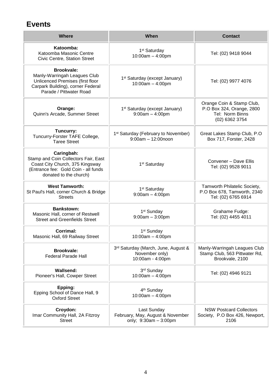# <span id="page-3-0"></span>**Events**

| <b>Where</b>                                                                                                                                            | When                                                                      | <b>Contact</b>                                                                              |
|---------------------------------------------------------------------------------------------------------------------------------------------------------|---------------------------------------------------------------------------|---------------------------------------------------------------------------------------------|
| Katoomba:<br>Katoomba Masonic Centre<br>Civic Centre, Station Street                                                                                    | 1 <sup>st</sup> Saturday<br>$10:00am - 4:00pm$                            | Tel: (02) 9418 9044                                                                         |
| <b>Brookvale:</b><br>Manly-Warringah Leagues Club<br>Unlicenced Premises (first floor<br>Carpark Building), corner Federal<br>Parade / Pittwater Road   | 1 <sup>st</sup> Saturday (except January)<br>10:00am - 4:00pm             | Tel: (02) 9977 4076                                                                         |
| Orange:<br>Quinn's Arcade, Summer Street                                                                                                                | 1 <sup>st</sup> Saturday (except January)<br>$9:00am - 4:00pm$            | Orange Coin & Stamp Club,<br>P.O Box 324, Orange, 2800<br>Tel: Norm Binns<br>(02) 6362 3754 |
| Tuncurry:<br>Tuncurry-Forster TAFE College,<br><b>Taree Street</b>                                                                                      | 1 <sup>st</sup> Saturday (February to November)<br>$9:00am - 12:00noon$   | Great Lakes Stamp Club, P.O.<br>Box 717, Forster, 2428                                      |
| Caringbah:<br>Stamp and Coin Collectors Fair, East<br>Coast City Church, 375 Kingsway<br>(Entrance fee: Gold Coin - all funds<br>donated to the church) | 1 <sup>st</sup> Saturday                                                  | Convener - Dave Ellis<br>Tel: (02) 9528 9011                                                |
| <b>West Tamworth:</b><br>St Paul's Hall, corner Church & Bridge<br><b>Streets</b>                                                                       | 1 <sup>st</sup> Saturday<br>$9:00am - 4:00pm$                             | Tamworth Philatelic Society,<br>P.O Box 678, Tamworth, 2340<br>Tel: (02) 6765 6914          |
| <b>Bankstown:</b><br>Masonic Hall, corner of Restwell<br><b>Street and Greenfields Street</b>                                                           | 1 <sup>st</sup> Sunday<br>$9:00am - 3:00pm$                               | Grahame Fudge:<br>Tel: (02) 4455 4011                                                       |
| <b>Corrimal:</b><br>Masonic Hall, 69 Railway Street                                                                                                     | 1 <sup>st</sup> Sunday<br>$10:00am - 4:00pm$                              |                                                                                             |
| <b>Brookvale:</b><br><b>Federal Parade Hall</b>                                                                                                         | 3rd Saturday (March, June, August &<br>November only)<br>10:00am - 4:00pm | Manly-Warringah Leagues Club<br>Stamp Club, 563 Pittwater Rd,<br>Brookvale, 2100            |
| <b>Wallsend:</b><br>Pioneer's Hall, Cowper Street                                                                                                       | 3rd Sunday<br>$10:00am - 4:00pm$                                          | Tel: (02) 4946 9121                                                                         |
| Epping:<br>Epping School of Dance Hall, 9<br><b>Oxford Street</b>                                                                                       | 4 <sup>th</sup> Sunday<br>$10:00am - 4:00pm$                              |                                                                                             |
| Croydon:<br>Imar Community Hall, 2A Fitzroy<br><b>Street</b>                                                                                            | Last Sunday<br>February, May, August & November<br>only; 9:30am - 3:00pm  | <b>NSW Postcard Collectors</b><br>Society, P.O Box 426, Newport,<br>2106                    |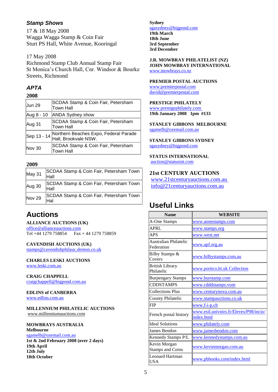### <span id="page-4-0"></span>*Stamp Shows*

17 & 18 May 2008 Wagga Wagga Stamp & Coin Fair Sturt PS Hall, White Avenue, Kooringal

#### 17 May 2008

Richmond Stamp Club Annual Stamp Fair St Monica's Church Hall, Cnr. Windsor & Bourke Streets, Richmond

# <span id="page-4-1"></span>*APTA*

#### **2008**

| Jun 29      | SCDAA Stamp & Coin Fair, Petersham<br>Town Hall               |
|-------------|---------------------------------------------------------------|
| Aug 8 - 10  | <b>ANDA Sydney show</b>                                       |
| Aug 31      | SCDAA Stamp & Coin Fair, Petersham<br>Town Hall               |
| Sep 13 - 14 | Northern Beaches Expo, Federal Parade<br>Hall, Brookvale NSW. |
| Nov 30      | SCDAA Stamp & Coin Fair, Petersham<br>Town Hall               |

#### **2009**

| May 31 | SCDAA Stamp & Coin Fair, Petersham Town<br>Hall |
|--------|-------------------------------------------------|
| Aug 30 | SCDAA Stamp & Coin Fair, Petersham Town<br>Hall |
| Nov 29 | SCDAA Stamp & Coin Fair, Petersham Town<br>Hal  |

# <span id="page-4-2"></span>**Auctions**

#### **ALLIANCE AUCTIONS (UK)**

[office@allianceauctions.com](mailto:office@allianceauctions.com)  Tel +44 1279 758854 Fax + 44 1279 758859

**CAVENDISH AUCTIONS (UK)** [stamps@cavendishphilauc.demon.co.uk](mailto:stamps@cavendishphilauc.demon.co.uk) 

**CHARLES LESKI AUCTIONS** 

[www.leski.com.au](http://www.leski.com.au/) 

**CRAIG CHAPPELL**  [craigchappell@bigpond.com.au](mailto:craigchappell@bigpond.com.au) 

### **EDLINS of CANBERRA**

[www.edlins.com.au](http://www.edlins.com.au/) 

**MILLENNIUM PHILATELIC AUCTIONS**  [www.millenniumauctions.com](http://www.millenniumauctions.com/)

#### **MOWBRAYS AUSTRALIA**

**Melbourne** [sgamelb@ozemail.com.au](mailto:sgamelb@ozemail.com.au)  **1st & 2nd February 2008 (over 2 days) 19th April 12th July**

**18th October**

**Sydney** [sgasydney@bigpond.com](mailto:sgasydney@bigpond.com)  **19th March 18th June 3rd September 3rd December**

**J.R. MOWBRAY PHILATELIST (NZ) JOHN MOWBRAY INTERNATIONAL**  [www.mowbrays.co.nz](http://www.mowbrays.co.nz/) 

#### **PREMIER POSTAL AUCTIONS**

[www.premierpostal.com](http://www.premierpostal.com/)  [david@premierpostal.com](mailto:david@premierpostal.com) 

#### **PRESTIGE PHILATELY**

[www.prestigephilately.com](http://www.prestigephilately.com/) **19th January 2008 1pm #133**

**STANLEY GIBBONS MELBOURNE** [sgamelb@ozemail.com.au](mailto:sgamelb@ozemail.com.au) 

#### **STANLEY GIBBONS SYDNEY** [sgasydney@bigpond.com](mailto:sgasydney@bigpond.com)

**STATUS INTERNATIONAL**  [auction@statusint.com](mailto:auction@statusint.com)

**21st CENTURY AUCTIONS** 

[www.21stcenturyauctions.com.au](http://www.21stcenturyauctions.com.au/)  [info@21centuryauctions.com.au](mailto:info@21centuryauctions.com.au) 

# <span id="page-4-3"></span>**Useful Links**

| <b>Name</b>                             | WEBSITE                                              |
|-----------------------------------------|------------------------------------------------------|
| A-One Stamps                            | www.aonestamps.com                                   |
| <b>APRL</b>                             | www.stamps.org                                       |
| <b>APS</b>                              | www.west.net                                         |
| Australian Philatelic<br>Federation     | www.apf.org.au                                       |
| Bilby Stamps &<br>Covers                | www.bilbystamps.com.au                               |
| <b>British Library</b><br>Philatelic    | www.portico.bi.uk Collection                         |
| <b>Burpengary Stamps</b>                | www.burstamp.com                                     |
| <b>CDDSTAMPS</b>                        | www.cdddstamps.vom                                   |
| <b>Collections Plus</b>                 | www.centurynova.com.au                               |
| County Philatelic                       | www.stampauctions.co.uk                              |
| <b>FIP</b>                              | $www.f-i-p.ch$                                       |
| French postal history                   | www.esil.univnirs.fr/Eleves/P98/incio/<br>index.html |
| <b>Ideal Solutions</b>                  | www.philately.com                                    |
| James Bendon                            | www.jamesbendon.com                                  |
| Kennedy Stamps P/L                      | www.kennedystamps.com.au                             |
| Kevin Morgan<br><b>Stamps and Coins</b> | www.kevinmorgan.com.au                               |
| Leonard Hartman<br>USA                  | www.pbbooks.com/index.html                           |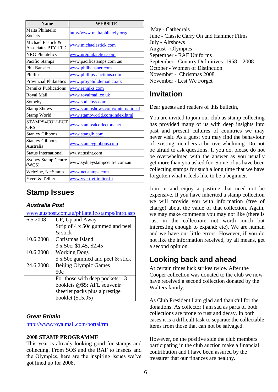| <b>Name</b>                                    | <b>WEBSITE</b>                    |
|------------------------------------------------|-----------------------------------|
| Malta Philatelic<br>Society                    | http://www.maltaphilately.org/    |
| Michael Eastick &<br><b>Associates PTY LTD</b> | www.michaelestick.com             |
| <b>NRG</b> Philatelics                         | www.nrgphilatelics.com            |
| Pacific Stamps                                 | www.pacificstamps.com.au          |
| <b>Phil Bansner</b>                            | www.philbansner.com               |
| Phillips                                       | www.phillips-auctions.com         |
| <b>Provincial Philatelics</b>                  | www.proyphil.demon.co.uk          |
| <b>Renniks Publications</b>                    | www.renniks.com                   |
| Royal Mail                                     | www.royalmail.co.uk               |
| Sotheby                                        | www.sothebys.com                  |
| <b>Stamp Shows</b>                             | www.stampshows.com/#international |
| Stamp World                                    | www.stampworld.com/index.html     |
| STAMPS4COLLECT<br><b>ORS</b>                   | www.stamps4collectors.net         |
| <b>Stanley Gibbons</b>                         | www.stangib.com                   |
| <b>Stanley Gibbons</b><br>Australia            | www.stanleygibbons.com            |
| <b>Status International</b>                    | ww.statusint.com                  |
| <b>Sydney Stamp Centre</b><br>(WCS)            | www.sydneystampcentre.com.au      |
| Webzine, NetStamp                              | www.netstamps.com                 |
| Yvert & Tellier                                | www.yvert-et-tellier.fr/          |

# <span id="page-5-0"></span>**Stamp Issues**

### <span id="page-5-1"></span>*Australia Post*

[www.auspost.com.au/philatelic/stamps/intro.asp](http://www.auspost.com.au/philatelic/stamps/intro.asp)

| 6.5.2008  | UP, Up and Away                  |
|-----------|----------------------------------|
|           | Strip of 4 x 50c gummed and peel |
|           | & stick                          |
| 10.6.2008 | Christmas Island                 |
|           | 3 x 50c; \$1.45, \$2.45          |
| 10.6.2008 | <b>Working Dogs</b>              |
|           | 5 x 50c gummed and peel & stick  |
| 24.6.2008 | Beijing Olympic Games            |
|           | 50c                              |
|           | For those with deep pockets: 13  |
|           | booklets @\$5: AFL souvenir      |
|           | sheetlet packs plus a prestige   |
|           | booklet (\$15.95)                |

## <span id="page-5-2"></span>*Great Britain*

<http://www.royalmail.com/portal/rm>

#### **2008 STAMP PROGRAMME**

This year is already looking good for stamps and collecting. From SOS and the RAF to Insects and the Olympics, here are the inspiring issues we've got lined up for 2008.

May - Cathedrals June - Classic Carry On and Hammer Films July - Airshows August - Olympics September - RAF Uniforms September - Country Definitives: 1958 – 2008 October - Women of Distinction November - Christmas 2008 November - Lest We Forget

# <span id="page-5-3"></span>**Invitation**

Dear guests and readers of this bulletin,

You are invited to join our club as stamp collecting has provided many of us with deep insights into past and present cultures of countries we may never visit. As a guest you may find the behaviour of existing members a bit overwhelming. Do not be afraid to ask questions. If you do, please do not be overwhelmed with the answer as you usually get more than you asked for. Some of us have been collecting stamps for such a long time that we have forgotten what it feels like to be a beginner.

Join in and enjoy a pastime that need not be expensive. If you have inherited a stamp collection we will provide you with information (free of charge) about the value of that collection. Again, we may make comments you may not like (there is rust in the collection; not worth much but interesting enough to expand; etc). We are human and we have our little errors. However, if you do not like the information received, by all means, get a second opinion.

# <span id="page-5-4"></span>**Looking back and ahead**

At certain times luck strikes twice. After the Cooper collection was donated to the club we now have received a second collection donated by the Walters family.

As Club President I am glad and thankful for the donations. As collector I am sad as parts of both collections are prone to rust and decay. In both cases it is a difficult task to separate the collectable items from those that can not be salvaged.

However, on the positive side the club members participating in the club auction make a financial contribution and I have been assured by the treasurer that our finances are healthy.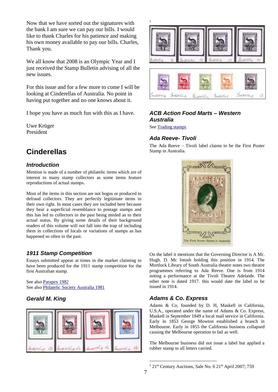Now that we have sorted out the signatures with the bank I am sure we can pay our bills. I would like to thank Charles for his patience and making his own money available to pay our bills. Charles, Thank you.

We all know that 2008 is an Olympic Year and I just received the Stamp Bulletin advising of all the new issues.

For this issue and for a few more to come I will be looking at Cinderellas of Australia. No point in having put together and no one knows about it.

I hope you have as much fun with this as I have.

Uwe Krüger President

# <span id="page-6-0"></span>**Cinderellas**

### <span id="page-6-1"></span>*Introduction*

Mention is made of a number of philatelic items which are of interest to many stamp collectors as some items feature reproductions of actual stamps.

Most of the items in this section are not bogus or produced to defraud collectors. They are perfectly legitimate items in their own right. In most cases they are included here because they bear a superficial resemblance to postage stamps and this has led to collectors in the past being misled as to their actual status. By giving some details of their background readers of this volume will not fall into the trap of including them in collections of locals or variations of stamps as has happened so often in the past.

## <span id="page-6-2"></span>*1911 Stamp Competition*

Essays submitted appear at times in the market claiming to have been produced for the 1911 stamp competition for the first Australian stamp.

See also Parapex 1982 See also Philatelic Society Australia 1981

# <span id="page-6-3"></span>*Gerald M. King*





### <span id="page-6-4"></span>*ACB Action Food Marts – Western Australia*

<span id="page-6-5"></span>See Trading stamps

### *Ada Reeve- Tivoli*

The Ada Reeve – Tivoli label claims to be the First Poster Stamp in Australia.



On the label it mentions that the Governing Director is A Mr. Hugh. D. Mc Intosh holding this position in 1914. The Mortlock Library of South Australia theatre notes two theatre programmes referring to Ada Reeve. One is from 1914 noting a performance at the Tivoli Theatre Adelaide. The other note is dated 1917. this would date the label to be issued in 1914.

## <span id="page-6-6"></span>*Adams & Co. Express*

Adams & Co, founded by D. H, Maskell in California, U.S.A., operated under the name of Adams & Co. Express, Maskell in September 1849 a local mail service in California. Early in 1853 George Mowton established a branch in Melbourne. Early in 1855 the California business collapsed causing the Melbourne operation to fail as well.

The Melbourne business did not issue a label but applied a rubber stamp to all letters carried.

1

 $121$ <sup>st</sup> Century Auctions, Sale No. 6  $21$ <sup>st</sup> April 2007; 759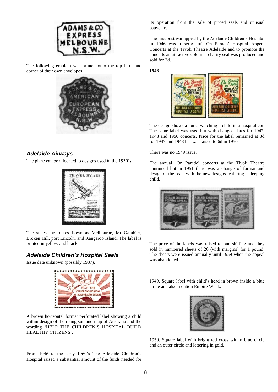

The following emblem was printed onto the top left hand corner of their own envelopes.



#### <span id="page-7-0"></span>*Adelaide Airways*

The plane can be allocated to designs used in the 1930's.



The states the routes flown as Melbourne, Mt Gambier, Broken Hill, port Lincoln, and Kangaroo Island. The label is printed in yellow and black.

### <span id="page-7-1"></span>*Adelaide Children's Hospital Seals*

Issue date unknown (possibly 1937).



A brown horizontal format perforated label showing a child within design of the rising sun and map of Australia and the wording 'HELP THE CHILDREN'S HOSPITAL BUILD HEALTHY CITIZENS'.

From 1946 to the early 1960's The Adelaide Children's Hospital raised a substantial amount of the funds needed for its operation from the sale of priced seals and unusual souvenirs.

The first post war appeal by the Adelaide Children's Hospital in 1946 was a series of 'On Parade' Hospital Appeal Concerts at the Tivoli Theatre Adelaide and to promote the concerts an attractive coloured charity seal was produced and sold for 3d.

**1948**



The design shows a nurse watching a child in a hospital cot. The same label was used but with changed dates for 1947, 1948 and 1950 concerts. Price for the label remained at 3d for 1947 and 1948 but was raised to 6d in 1950

There was no 1949 issue.

The annual 'On Parade' concerts at the Tivoli Theatre continued but in 1951 there was a change of format and design of the seals with the new designs featuring a sleeping child.



The price of the labels was raised to one shilling and they sold in numbered sheets of 20 (with margins) for 1 pound. The sheets were issued annually until 1959 when the appeal was abandoned.

1949. Square label with child's head in brown inside a blue circle and also mention Empire Week.



1950. Square label with bright red cross within blue circle and an outer circle and lettering in gold.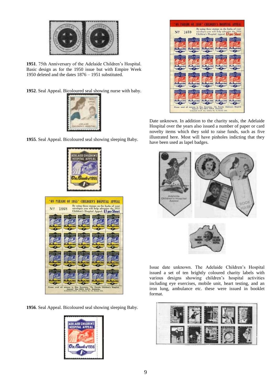

**1951**. 75th Anniversary of the Adelaide Children's Hospital. Basic design as for the 1950 issue but with Empire Week 1950 deleted and the dates 1876 – 1951 substituted.

**1952**. Seal Appeal. Bicoloured seal showing nurse with baby.



**1955**. Seal Appeal. Bicoloured seal showing sleeping Baby.





**1956**. Seal Appeal. Bicoloured seal showing sleeping Baby.





Date unknown. In addition to the charity seals, the Adelaide Hospital over the years also issued a number of paper or card novelty items which they sold to raise funds, such as five illustrated here. Most will have pinholes indicting that they have been used as lapel badges.



Issue date unknown. The Adelaide Children's Hospital issued a set of ten brightly coloured charity labels with various designs showing children's hospital activities including eye exercises, mobile unit, heart testing, and an iron lung, ambulance etc. these were issued in booklet format.

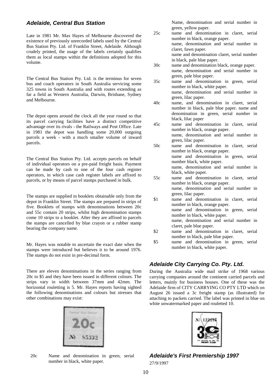#### <span id="page-9-0"></span>*Adelaide, Central Bus Station*

Late in 1981 Mr. Max Hayes of Melbourne discovered the existence of previously unrecorded labels used by the Central Bus Station Pty. Ltd. of Franklin Street, Adelaide. Although crudely printed, the usage of the labels certainly qualifies them as local stamps within the definitions adopted for this volume.

The Central Bus Station Pty. Ltd. is the terminus for seven bus and coach operators in South Australia servicing some 325 towns in South Australia and with routes extending as far a field as Western Australia, Darwin, Brisbane, Sydney and Melbourne.

The depot opens around the clock all the year round so that its parcel carrying facilities have a distinct competitive advantage over its rivals - the Railways and Post Office. Late in 1981 the depot was handling some 20,000 outgoing parcels a week - with a much smaller volume of inward parcels.

The Central Bus Station Pty. Ltd. accepts parcels on behalf of individual operators on a pre-paid freight basis. Payment can be made by cash to one of the four cash register operators, in which case cash register labels are affixed to parcels, or by means of parcel stamps purchased in bulk.

The stamps are supplied in booklets obtainable only from the depot in Franklin Street. The stamps are prepared in strips of five. Booklets of stamps with denominations between 20c and 55c contain 20 strips, whilst high denomination stamps come 10 strips to a booklet. After they are affixed to parcels the stamps are cancelled by blue crayon or a rubber stamp bearing the company name.

Mr. Hayes was notable to ascertain the exact date when the stamps were introduced but believes it to be around 1976. The stamps do not exist in pre-decimal form.

There are eleven denominations in the series ranging from 20c to \$5 and they have been issued in different colours. The strips vary in width between 37mm and 42mm. The horizontal rouletting is 5. Mr. Hayes reports having sighted the following denominations and colours but stresses that other combinations may exist:



20c Name and denomination in green, serial number in black, white paper.

Name, denomination and serial number in green, yellow paper.

- 25c name and denomination in claret, serial number in black, orange paper. name, denomination and serial number in claret, fawn paper. name and denomination claret, serial number in black, pale blue paper.
- 30c name and denomination black, orange paper. name, denomination and serial number in green, pale blue paper.
- 35c name and denomination in green, serial number in black, white paper. name, denomination and serial number in green, lilac paper.
- 40c name, and denomination in claret, serial number in black, pale blue paper. name and denomination in green, serial number in black, lilac paper
- 45c name and denomination in claret, serial number in black, orange paper. name, denomination and serial number in green, lilac paper.
- 50c name and denomination in claret, serial number in black, orange paper. name and denomination in green, serial number black, white paper. name, denomination and serial number in black, white paper.
- 55c name and denomination in claret, serial number in black, orange paper. name, denomination and serial number in green, lilac paper.
- \$1 name and denomination in claret, serial number in black, orange paper. name and denomination in green, serial number in black, white paper. name, denomination and serial number in claret, pale blue paper.
- \$2 name and denomination in claret, serial number in black, pale blue paper.
- \$5 name and denomination in green, serial number in black, white paper.

### <span id="page-9-1"></span>*Adelaide City Carrying Co. Pty. Ltd.*

During the Australia wide mail strike of 1968 various carrying companies around the continent carried parcels and letters, mainly for business houses. One of these was the Adelaide firm of CITY CARRYING CO PTY LTD which on August 26 issued a 3c freight stamp (as illustrated) for attaching to packets carried. The label was printed in blue on white unwatermarked paper and rouletted 10.



<span id="page-9-2"></span>*Adelaide's First Premiership 1997* 27/9/1997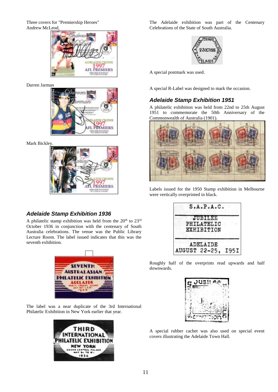Three covers for "Premiership Heroes" Andrew McLeod,



Darren Jarman



Mark Bickley.



### <span id="page-10-0"></span>*Adelaide Stamp Exhibition 1936*

A philatelic stamp exhibition was held from the  $20<sup>th</sup>$  to  $23<sup>rd</sup>$ October 1936 in conjunction with the centenary of South Australia celebrations. The venue was the Public Library Lecture Room. The label issued indicates that this was the seventh exhibition.



The label was a near duplicate of the 3rd International Philatelic Exhibition in New York earlier that year.



The Adelaide exhibition was part of the Centenary Celebrations of the State of South Australia.



A special postmark was used.

<span id="page-10-1"></span>A special R-Label was designed to mark the occasion.

### *Adelaide Stamp Exhibition 1951*

A philatelic exhibition was held from 22nd to 25th August 1951 to commemorate the 50th Anniversary of the Commonwealth of Australia (1901).



Labels issued for the 1950 Stamp exhibition in Melbourne were vertically overprinted in black.



Roughly half of the overprints read upwards and half downwards.



A special rubber cachet was also used on special event covers illustrating the Adelaide Town Hall.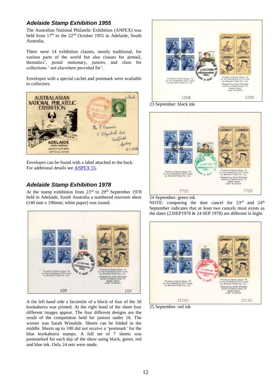#### <span id="page-11-0"></span>*Adelaide Stamp Exhibition 1955*

The Australian National Philatelic Exhibition (ANPEX) was held from  $17<sup>th</sup>$  to the  $22<sup>nd</sup>$  October 1955 in Adelaide, South Australia.

There were 14 exhibition classes, mostly traditional, for various parts of the world but also classes for airmail, thematics', postal stationary, juniors, and class for collections ' not elsewhere provided for'.

Envelopes with a special cachet and postmark were available to collectors.



Envelopes can be found with a label attached to the back. For additional details see ANPEX 55.

### <span id="page-11-1"></span>*Adelaide Stamp Exhibition 1978*

At the stamp exhibition from  $23<sup>rd</sup>$  to  $29<sup>th</sup>$  September 1978 held in Adelaide, South Australia a numbered souvenir sheet (140 mm x 190mm; white paper) was issued.



A the left hand side a facsimile of a block of four of the 3d kookaburra was printed. At the right hand of the sheet four different images appear. The four different designs are the result of the competition held for juniors under 16. The winner was Sarah Winsdale. Sheets can be folded in the middle. Sheets up to 100 did not receive a 'postmark' for the blue kookaburra stamps. A full set of 7 sheets was postmarked for each day of the show using black, green, red and blue ink. Only 24 sets were made.



23 September: black ink



24 September: green ink

NOTE: comparing the date cancel for 23<sup>rd</sup> and 24<sup>th</sup> September indicates that at least two cancels must exists as the dates (23SEP1978 & 24 SEP 1978) are different in hight.



25 September: red ink